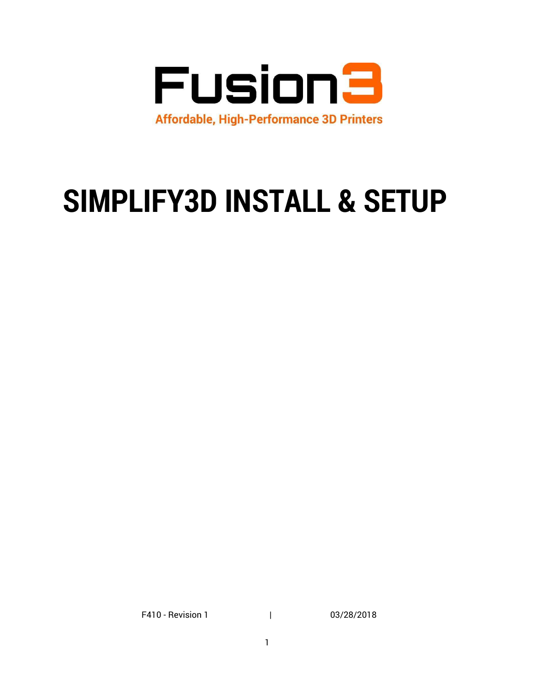

# **SIMPLIFY3D INSTALL & SETUP**

F410 - Revision 1 | 03/28/2018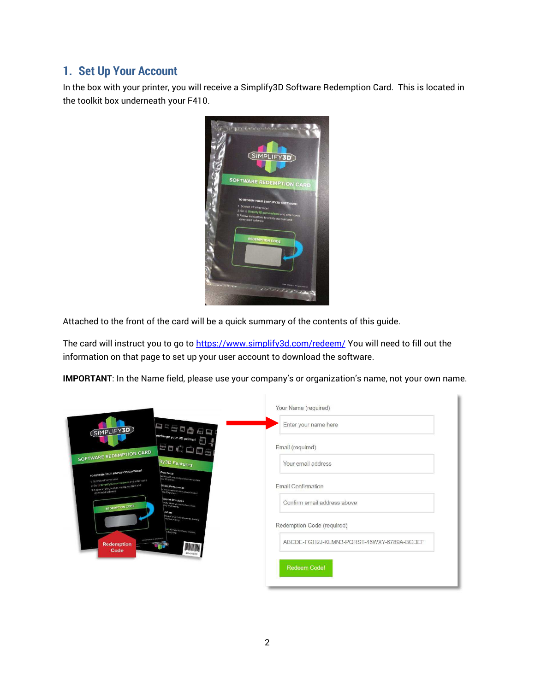## **1. Set Up Your Account**

In the box with your printer, you will receive a Simplify3D Software Redemption Card. This is located in the toolkit box underneath your F410.



Attached to the front of the card will be a quick summary of the contents of this guide.

The card will instruct you to go to<https://www.simplify3d.com/redeem/>You will need to fill out the information on that page to set up your user account to download the software.

**IMPORTANT**: In the Name field, please use your company's or organization's name, not your own name.

|                                                                                                                                                                                                                                                                   | Your Name (required)                      |
|-------------------------------------------------------------------------------------------------------------------------------------------------------------------------------------------------------------------------------------------------------------------|-------------------------------------------|
| 2220082<br>SIMPLIFY3D<br>ercharge your 3D printer!                                                                                                                                                                                                                | Enter your name here                      |
| Bothes<br>SOFTWARE REDEMPTION CARD                                                                                                                                                                                                                                | Email (required)                          |
| ify3D Features<br>TO REDEEM YOUR SIMPLIFY3D SOFTWARE<br>Easy Setup                                                                                                                                                                                                | Your email address                        |
| puckly with pre-configured printer profess.<br>1. Scratch off silver label<br>2 Go to Simplify3D,com/redeem and enter code<br>3. Follow instructions to create account and<br>Slicing Performance<br>of the lostest and most powerful sitcer<br>download software | Email Confirmation                        |
| <b>Upport Structures</b><br>tacty intrins you need them. Then<br>REDEMPTION CODE<br>/ Mode                                                                                                                                                                        | Confirm email address above               |
| thors of your build stratement. Identify<br>pers tor how to velect, futorally,                                                                                                                                                                                    | Redemption Code (required)                |
| <b>NEW CONFERENCE AND ONE WORK OF FILE</b><br><b>Redemption</b><br><b>MELIFYTO</b><br>$\frac{1}{\frac{1}{1}}\prod_{x \in \mathcal{X} \text{ is odd}}$<br>Code                                                                                                     | ABCDE-FGH2J-KLMN3-PQRST-45WXY-6789A-BCDEF |
|                                                                                                                                                                                                                                                                   | <b>Redeem Code!</b>                       |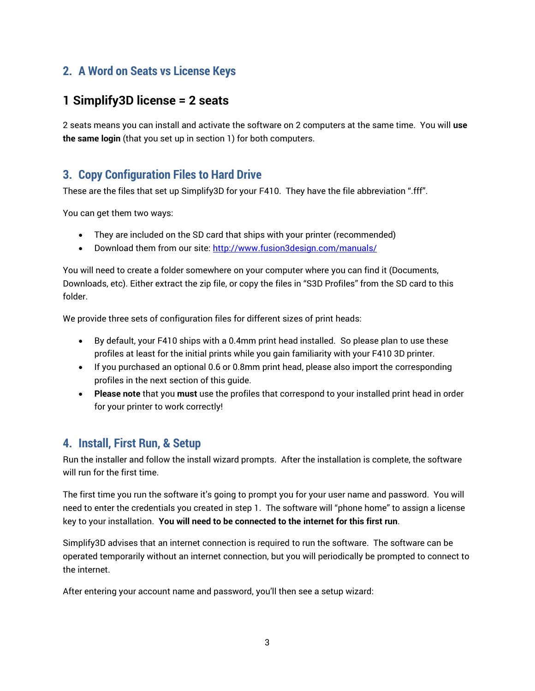# **2. A Word on Seats vs License Keys**

## **1 Simplify3D license = 2 seats**

2 seats means you can install and activate the software on 2 computers at the same time. You will **use the same login** (that you set up in section 1) for both computers.

#### **3. Copy Configuration Files to Hard Drive**

These are the files that set up Simplify3D for your F410. They have the file abbreviation ".fff".

You can get them two ways:

- They are included on the SD card that ships with your printer (recommended)
- Download them from our site[: http://www.fusion3design.com/manuals/](http://www.fusion3design.com/manuals/)

You will need to create a folder somewhere on your computer where you can find it (Documents, Downloads, etc). Either extract the zip file, or copy the files in "S3D Profiles" from the SD card to this folder.

We provide three sets of configuration files for different sizes of print heads:

- By default, your F410 ships with a 0.4mm print head installed. So please plan to use these profiles at least for the initial prints while you gain familiarity with your F410 3D printer.
- If you purchased an optional 0.6 or 0.8mm print head, please also import the corresponding profiles in the next section of this guide.
- **Please note** that you **must** use the profiles that correspond to your installed print head in order for your printer to work correctly!

#### **4. Install, First Run, & Setup**

Run the installer and follow the install wizard prompts. After the installation is complete, the software will run for the first time.

The first time you run the software it's going to prompt you for your user name and password. You will need to enter the credentials you created in step 1. The software will "phone home" to assign a license key to your installation. **You will need to be connected to the internet for this first run**.

Simplify3D advises that an internet connection is required to run the software. The software can be operated temporarily without an internet connection, but you will periodically be prompted to connect to the internet.

After entering your account name and password, you'll then see a setup wizard: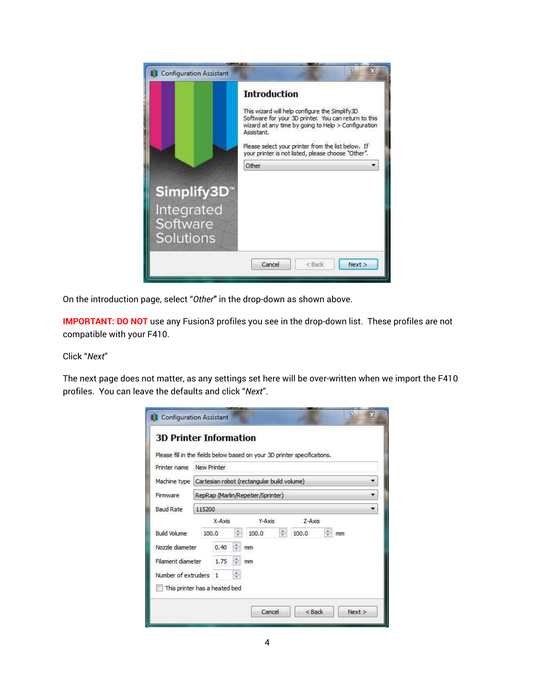

On the introduction page, select "Other" in the drop-down as shown above.

**IMPORTANT: DO NOT** use any Fusion3 profiles you see in the drop-down list. These profiles are not compatible with your F410.

#### Click "Next"

The next page does not matter, as any settings set here will be over-written when we import the F410 profiles. You can leave the defaults and click "Next".

| <b>3D Printer Information</b> |                                                           |                     |        |                                                                          |    |
|-------------------------------|-----------------------------------------------------------|---------------------|--------|--------------------------------------------------------------------------|----|
|                               |                                                           |                     |        | Please fill in the fields below based on your 3D printer specifications. |    |
| Printer name                  | New Printer                                               |                     |        |                                                                          |    |
|                               | Machine type   Cartesian robot (rectangular build volume) |                     |        |                                                                          |    |
| Firmware                      | RepRap (Marlin/Repetier/Sprinter)                         |                     |        | ▼                                                                        |    |
| <b>Baud Rate</b>              | 115200                                                    |                     |        |                                                                          | ٠  |
|                               | $X-AXIS$                                                  |                     | Y-Axis | $Z-Axis$                                                                 |    |
| Build Volume                  | 100.0                                                     | ÷<br>100.0          | ÷      | ÷<br>100.0                                                               | mm |
| Nozzle diameter               | 0.40                                                      | $\frac{1}{x}$<br>mm |        |                                                                          |    |
| Filament diameter             | 1.75                                                      | ÷<br>mm             |        |                                                                          |    |
| Number of extruders           | $\mathbf{1}$                                              | $\frac{K}{\Psi}$    |        |                                                                          |    |
|                               | This printer has a heated bed                             |                     |        |                                                                          |    |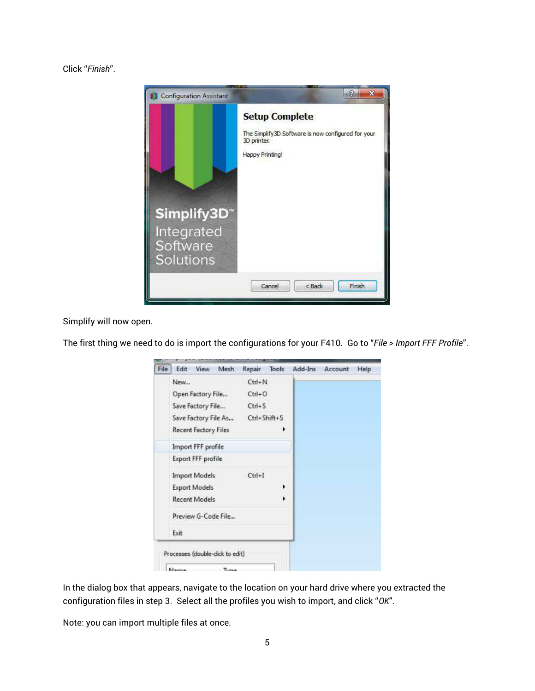Click "Finish".



Simplify will now open.

| File | Mesh<br>Edit<br><b>View</b> | Repair       | Tools | Add-Ins | Account | Help |
|------|-----------------------------|--------------|-------|---------|---------|------|
|      | New                         | $Ctrl + N$   |       |         |         |      |
|      | Open Factory File           | $Ctrl + O$   |       |         |         |      |
|      | Save Factory File           | $Ctrl + S$   |       |         |         |      |
|      | Save Factory File As        | Ctrl+Shift+S |       |         |         |      |
|      | Recent Factory Files        |              | ٠     |         |         |      |
|      | Import FFF profile          |              |       |         |         |      |
|      | <b>Export FFF profile</b>   |              |       |         |         |      |
|      | Import Models               | $Ctrl + 1$   |       |         |         |      |
|      | <b>Export Models</b>        |              | ٠     |         |         |      |
|      | <b>Recent Models</b>        |              | ٠     |         |         |      |
|      | Preview G-Code File         |              |       |         |         |      |
|      | Exit.                       |              |       |         |         |      |

The first thing we need to do is import the configurations for your F410. Go to "File > Import FFF Profile".

In the dialog box that appears, navigate to the location on your hard drive where you extracted the configuration files in step 3. Select all the profiles you wish to import, and click "OK".

Note: you can import multiple files at once.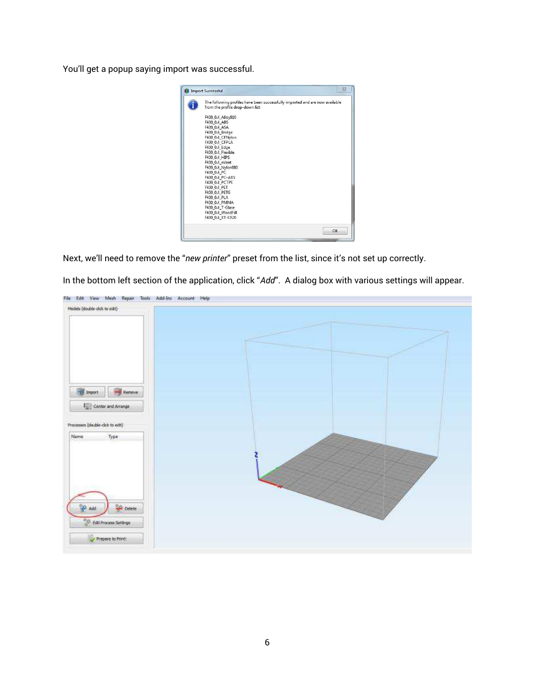You'll get a popup saying import was successful.



Next, we'll need to remove the "new printer" preset from the list, since it's not set up correctly.

In the bottom left section of the application, click "Add". A dialog box with various settings will appear.

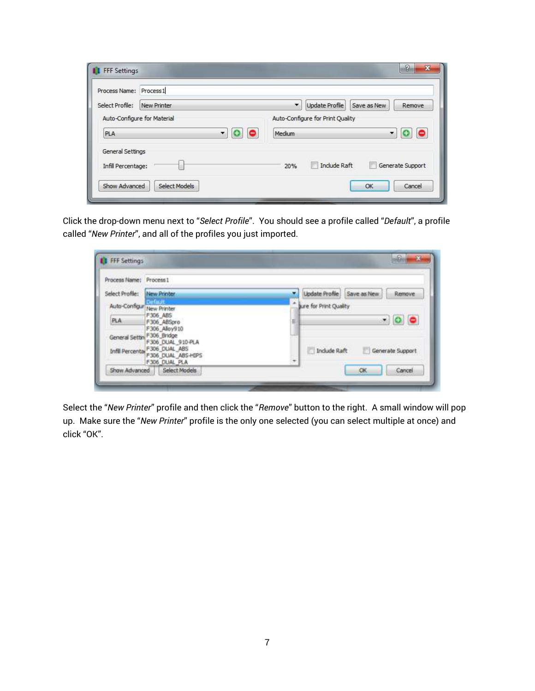| Process Name:      | Process <sub>1</sub>         |                                                                     |
|--------------------|------------------------------|---------------------------------------------------------------------|
| Select Profile:    | New Printer                  | $\overline{\phantom{a}}$<br>Update Profile<br>Save as New<br>Remove |
|                    | Auto-Configure for Material  | Auto-Configure for Print Quality                                    |
| PLA                | $\overline{\mathbf{v}}$<br>0 | Medium<br>$\overline{\phantom{a}}$                                  |
| General Settings   |                              |                                                                     |
| Infill Percentage: |                              | Include Raft<br>Generate Support<br>m<br>15<br>20%                  |

Click the drop-down menu next to "Select Profile". You should see a profile called "Default", a profile called "New Printer", and all of the profiles you just imported.

| Process Name: Process 1    |                                                                                                                    |   |                            |                  |
|----------------------------|--------------------------------------------------------------------------------------------------------------------|---|----------------------------|------------------|
| Select Profile:            | New Printer                                                                                                        |   | Update Profile Save as New | Renove           |
| Auto-Configur New Printer  |                                                                                                                    |   | ture for Print Quality     |                  |
| PLA                        | F306 ABS<br>F306 ABSpro                                                                                            | 븳 |                            | $\cdot$ 0 0      |
| General Settin F306 Bridge | F306 Alloy910<br>F306 DUAL 910-PLA<br>Infili Percental F306_DUAL_ABS<br>F306 DUAL ABS-HIPS<br><b>F306 DUAL PLA</b> | ٠ | Include Raft               | Generate Support |

Select the "*New Printer*" profile and then click the "*Remove*" button to the right. A small window will pop up. Make sure the "New Printer" profile is the only one selected (you can select multiple at once) and click "OK".